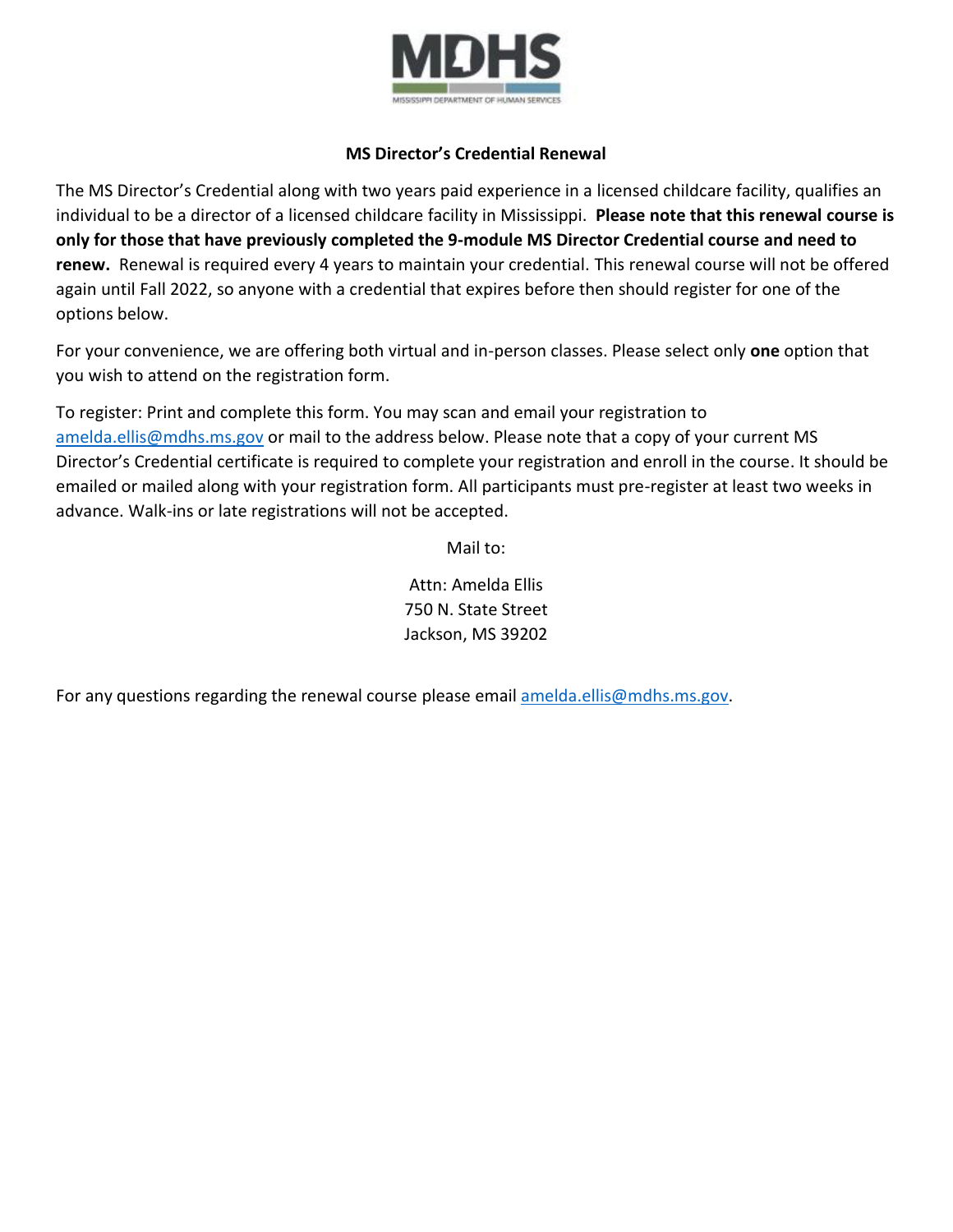

## **MS Director's Credential Renewal**

The MS Director's Credential along with two years paid experience in a licensed childcare facility, qualifies an individual to be a director of a licensed childcare facility in Mississippi. **Please note that this renewal course is only for those that have previously completed the 9-module MS Director Credential course and need to renew.** Renewal is required every 4 years to maintain your credential. This renewal course will not be offered again until Fall 2022, so anyone with a credential that expires before then should register for one of the options below.

For your convenience, we are offering both virtual and in-person classes. Please select only **one** option that you wish to attend on the registration form.

To register: Print and complete this form. You may scan and email your registration to [amelda.ellis@mdhs.ms.gov](mailto:amelda.ellis@mdhs.ms.gov) or mail to the address below. Please note that a copy of your current MS Director's Credential certificate is required to complete your registration and enroll in the course. It should be emailed or mailed along with your registration form. All participants must pre-register at least two weeks in advance. Walk-ins or late registrations will not be accepted.

Mail to:

Attn: Amelda Ellis 750 N. State Street Jackson, MS 39202

For any questions regarding the renewal course please email [amelda.ellis@mdhs.ms.gov.](mailto:amelda.ellis@mdhs.ms.gov)